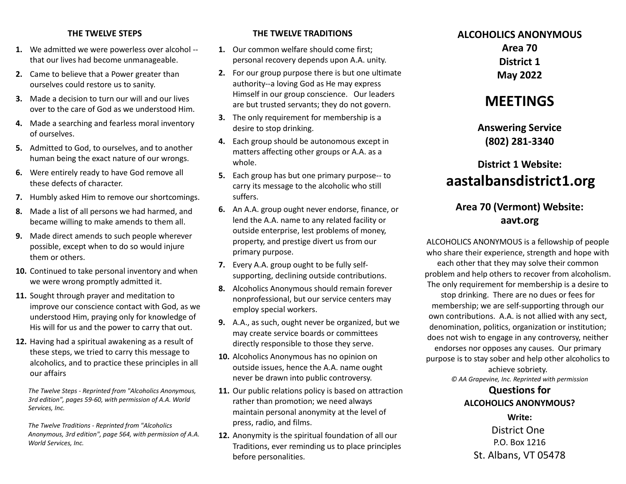#### **THE TWELVE STEPS**

- **1.** We admitted we were powerless over alcohol that our lives had become unmanageable.
- **2.** Came to believe that a Power greater than ourselves could restore us to sanity.
- **3.** Made a decision to turn our will and our lives over to the care of God as we understood Him.
- **4.** Made a searching and fearless moral inventory of ourselves.
- **5.** Admitted to God, to ourselves, and to another human being the exact nature of our wrongs.
- **6.** Were entirely ready to have God remove all these defects of character.
- **7.** Humbly asked Him to remove our shortcomings.
- **8.** Made a list of all persons we had harmed, and became willing to make amends to them all.
- **9.** Made direct amends to such people wherever possible, except when to do so would injure them or others.
- **10.** Continued to take personal inventory and when we were wrong promptly admitted it.
- **11.** Sought through prayer and meditation to improve our conscience contact with God, as we understood Him, praying only for knowledge of His will for us and the power to carry that out.
- **12.** Having had a spiritual awakening as a result of these steps, we tried to carry this message to alcoholics, and to practice these principles in all our affairs

*The Twelve Steps - Reprinted from "Alcoholics Anonymous, 3rd edition", pages 59-60, with permission of A.A. World Services, Inc.*

*The Twelve Traditions - Reprinted from "Alcoholics Anonymous, 3rd edition", page 564, with permission of A.A. World Services, Inc.*

#### **THE TWELVE TRADITIONS**

- **1.** Our common welfare should come first; personal recovery depends upon A.A. unity.
- **2.** For our group purpose there is but one ultimate authority--a loving God as He may express Himself in our group conscience. Our leaders are but trusted servants; they do not govern.
- **3.** The only requirement for membership is a desire to stop drinking.
- **4.** Each group should be autonomous except in matters affecting other groups or A.A. as a whole.
- **5.** Each group has but one primary purpose-- to carry its message to the alcoholic who still suffers.
- **6.** An A.A. group ought never endorse, finance, or lend the A.A. name to any related facility or outside enterprise, lest problems of money, property, and prestige divert us from our primary purpose.
- **7.** Every A.A. group ought to be fully selfsupporting, declining outside contributions.
- **8.** Alcoholics Anonymous should remain forever nonprofessional, but our service centers may employ special workers.
- **9.** A.A., as such, ought never be organized, but we may create service boards or committees directly responsible to those they serve.
- **10.** Alcoholics Anonymous has no opinion on outside issues, hence the A.A. name ought never be drawn into public controversy.
- **11.** Our public relations policy is based on attraction rather than promotion; we need always maintain personal anonymity at the level of press, radio, and films.
- **12.** Anonymity is the spiritual foundation of all our Traditions, ever reminding us to place principles before personalities.

## **ALCOHOLICS ANONYMOUS Area 70 District 1**

**May 2022**

# **MEETINGS**

**Answering Service (802) 281-3340**

# **District 1 Website: aastalbansdistrict1.org**

### **Area 70 (Vermont) Website: aavt.org**

ALCOHOLICS ANONYMOUS is a fellowship of people who share their experience, strength and hope with each other that they may solve their common problem and help others to recover from alcoholism. The only requirement for membership is a desire to stop drinking. There are no dues or fees for membership; we are self-supporting through our own contributions. A.A. is not allied with any sect, denomination, politics, organization or institution; does not wish to engage in any controversy, neither endorses nor opposes any causes. Our primary purpose is to stay sober and help other alcoholics to

achieve sobriety. *© AA Grapevine, Inc. Reprinted with permission*

### **Questions for ALCOHOLICS ANONYMOUS?**

**Write:** District One P.O. Box 1216 St. Albans, VT 05478